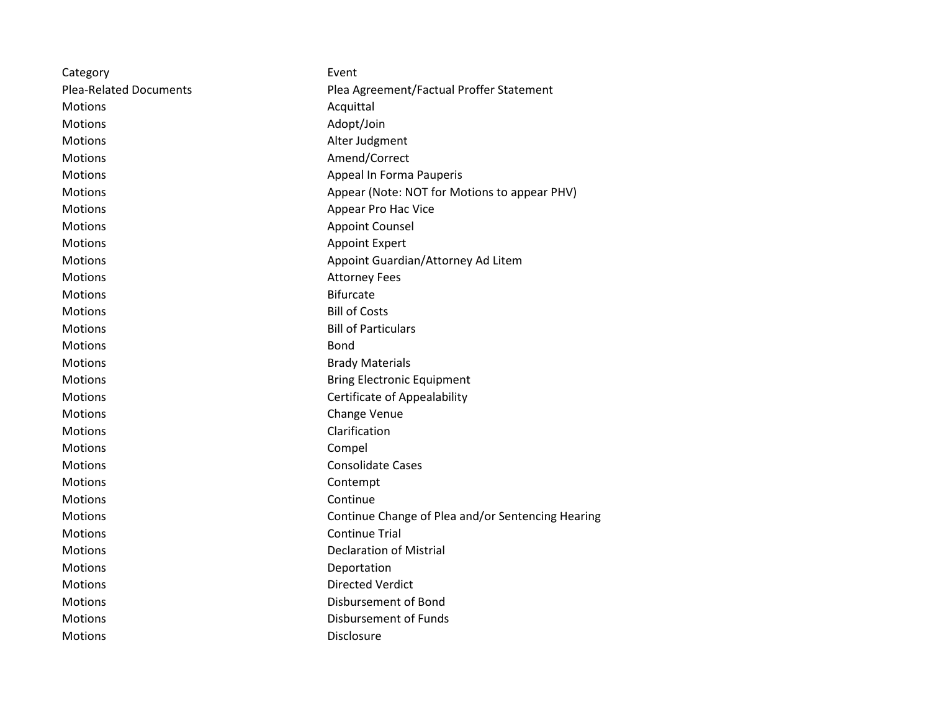| Category                      | Event                                             |
|-------------------------------|---------------------------------------------------|
| <b>Plea-Related Documents</b> | Plea Agreement/Factual Proffer Statement          |
| <b>Motions</b>                | Acquittal                                         |
| <b>Motions</b>                | Adopt/Join                                        |
| <b>Motions</b>                | Alter Judgment                                    |
| Motions                       | Amend/Correct                                     |
| Motions                       | Appeal In Forma Pauperis                          |
| <b>Motions</b>                | Appear (Note: NOT for Motions to appear PHV)      |
| Motions                       | Appear Pro Hac Vice                               |
| <b>Motions</b>                | <b>Appoint Counsel</b>                            |
| <b>Motions</b>                | <b>Appoint Expert</b>                             |
| <b>Motions</b>                | Appoint Guardian/Attorney Ad Litem                |
| <b>Motions</b>                | <b>Attorney Fees</b>                              |
| <b>Motions</b>                | <b>Bifurcate</b>                                  |
| <b>Motions</b>                | <b>Bill of Costs</b>                              |
| <b>Motions</b>                | <b>Bill of Particulars</b>                        |
| <b>Motions</b>                | Bond                                              |
| Motions                       | <b>Brady Materials</b>                            |
| <b>Motions</b>                | <b>Bring Electronic Equipment</b>                 |
| <b>Motions</b>                | Certificate of Appealability                      |
| <b>Motions</b>                | Change Venue                                      |
| <b>Motions</b>                | Clarification                                     |
| Motions                       | Compel                                            |
| <b>Motions</b>                | <b>Consolidate Cases</b>                          |
| Motions                       | Contempt                                          |
| <b>Motions</b>                | Continue                                          |
| <b>Motions</b>                | Continue Change of Plea and/or Sentencing Hearing |
| <b>Motions</b>                | <b>Continue Trial</b>                             |
| <b>Motions</b>                | <b>Declaration of Mistrial</b>                    |
| Motions                       | Deportation                                       |
| <b>Motions</b>                | <b>Directed Verdict</b>                           |
| <b>Motions</b>                | Disbursement of Bond                              |
| <b>Motions</b>                | <b>Disbursement of Funds</b>                      |
| <b>Motions</b>                | Disclosure                                        |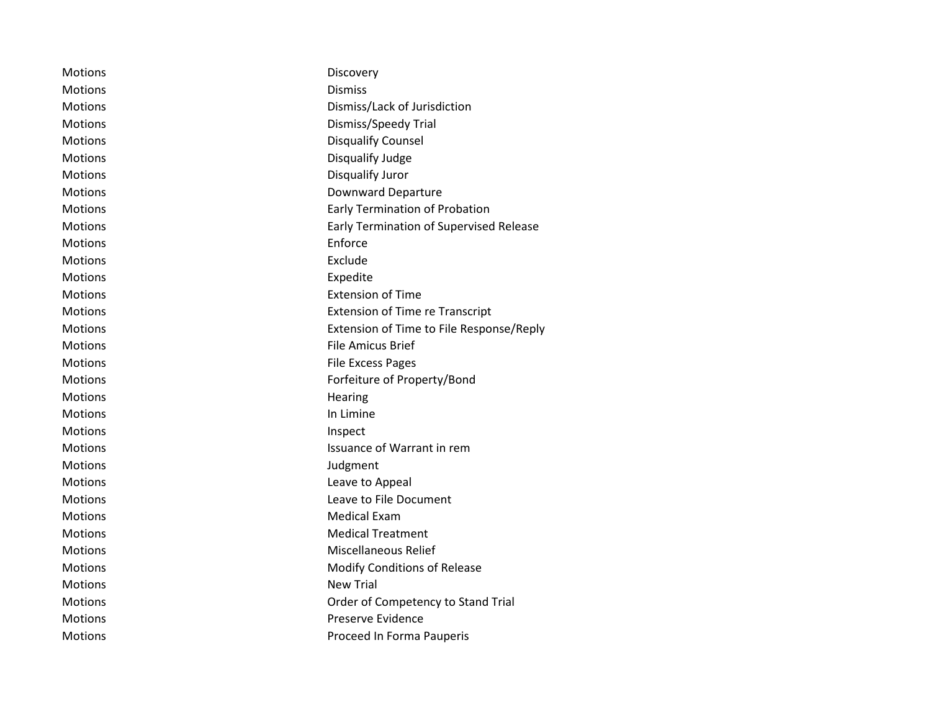| Motions        | Discovery                                      |
|----------------|------------------------------------------------|
| Motions        | <b>Dismiss</b>                                 |
| <b>Motions</b> | Dismiss/Lack of Jurisdiction                   |
| Motions        | Dismiss/Speedy Trial                           |
| Motions        | <b>Disqualify Counsel</b>                      |
| Motions        | Disqualify Judge                               |
| <b>Motions</b> | Disqualify Juror                               |
| Motions        | Downward Departure                             |
| <b>Motions</b> | <b>Early Termination of Probation</b>          |
| Motions        | <b>Early Termination of Supervised Release</b> |
| Motions        | Enforce                                        |
| <b>Motions</b> | Exclude                                        |
| Motions        | Expedite                                       |
| <b>Motions</b> | <b>Extension of Time</b>                       |
| Motions        | <b>Extension of Time re Transcript</b>         |
| Motions        | Extension of Time to File Response/Reply       |
| Motions        | <b>File Amicus Brief</b>                       |
| Motions        | <b>File Excess Pages</b>                       |
| Motions        | Forfeiture of Property/Bond                    |
| Motions        | Hearing                                        |
| Motions        | In Limine                                      |
| <b>Motions</b> | Inspect                                        |
| Motions        | Issuance of Warrant in rem                     |
| Motions        | Judgment                                       |
| Motions        | Leave to Appeal                                |
| Motions        | Leave to File Document                         |
| <b>Motions</b> | <b>Medical Exam</b>                            |
| Motions        | <b>Medical Treatment</b>                       |
| Motions        | Miscellaneous Relief                           |
| Motions        | <b>Modify Conditions of Release</b>            |
| Motions        | <b>New Trial</b>                               |
| <b>Motions</b> | Order of Competency to Stand Trial             |
| <b>Motions</b> | Preserve Evidence                              |
| Motions        | Proceed In Forma Pauperis                      |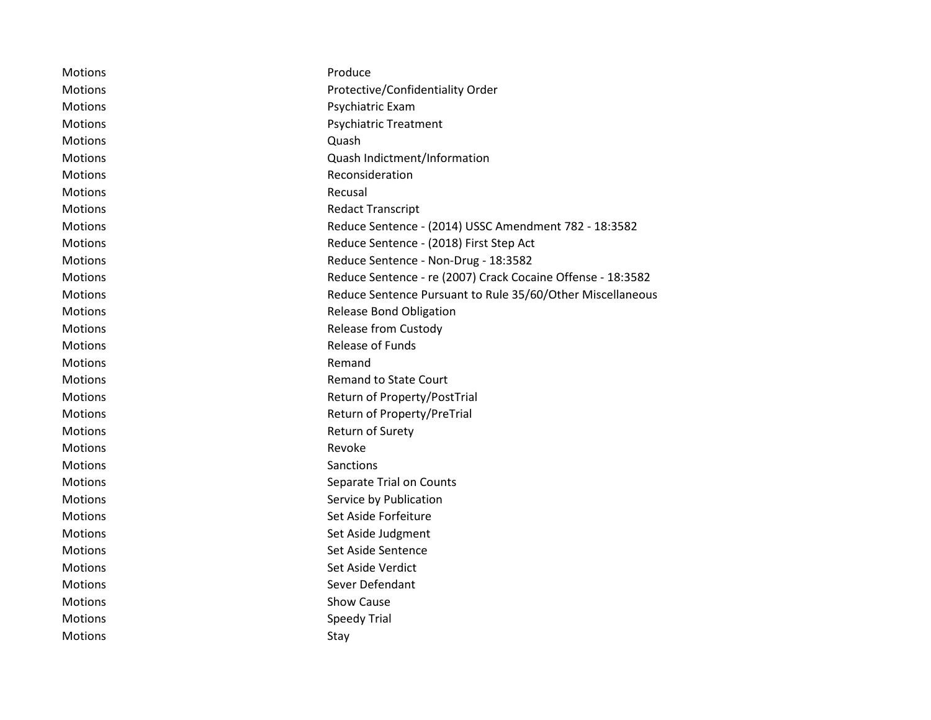| Motions        | Produce                                                     |
|----------------|-------------------------------------------------------------|
| <b>Motions</b> | Protective/Confidentiality Order                            |
| Motions        | Psychiatric Exam                                            |
| Motions        | <b>Psychiatric Treatment</b>                                |
| Motions        | Quash                                                       |
| Motions        | Quash Indictment/Information                                |
| <b>Motions</b> | Reconsideration                                             |
| Motions        | Recusal                                                     |
| Motions        | <b>Redact Transcript</b>                                    |
| <b>Motions</b> | Reduce Sentence - (2014) USSC Amendment 782 - 18:3582       |
| <b>Motions</b> | Reduce Sentence - (2018) First Step Act                     |
| Motions        | Reduce Sentence - Non-Drug - 18:3582                        |
| <b>Motions</b> | Reduce Sentence - re (2007) Crack Cocaine Offense - 18:3582 |
| Motions        | Reduce Sentence Pursuant to Rule 35/60/Other Miscellaneous  |
| Motions        | <b>Release Bond Obligation</b>                              |
| Motions        | <b>Release from Custody</b>                                 |
| Motions        | <b>Release of Funds</b>                                     |
| Motions        | Remand                                                      |
| <b>Motions</b> | <b>Remand to State Court</b>                                |
| Motions        | Return of Property/PostTrial                                |
| <b>Motions</b> | Return of Property/PreTrial                                 |
| Motions        | Return of Surety                                            |
| Motions        | Revoke                                                      |
| Motions        | Sanctions                                                   |
| Motions        | Separate Trial on Counts                                    |
| <b>Motions</b> | Service by Publication                                      |
| Motions        | Set Aside Forfeiture                                        |
| <b>Motions</b> | Set Aside Judgment                                          |
| <b>Motions</b> | Set Aside Sentence                                          |
| Motions        | Set Aside Verdict                                           |
| Motions        | Sever Defendant                                             |
| Motions        | Show Cause                                                  |
| Motions        | <b>Speedy Trial</b>                                         |
| <b>Motions</b> | Stay                                                        |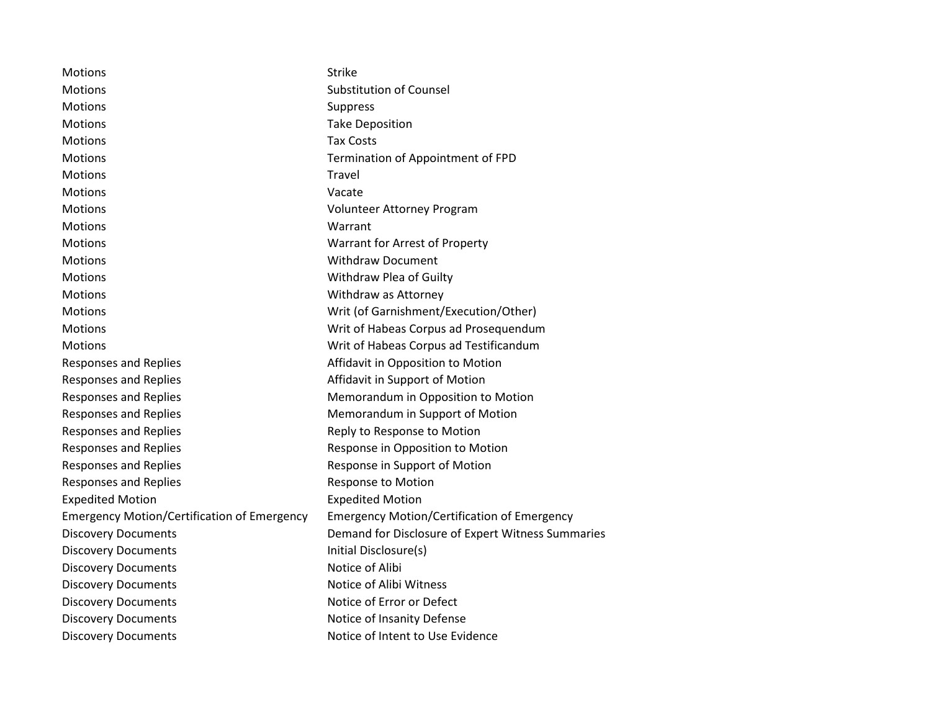| <b>Motions</b>                                     | <b>Strike</b>                                      |
|----------------------------------------------------|----------------------------------------------------|
| <b>Motions</b>                                     | <b>Substitution of Counsel</b>                     |
| <b>Motions</b>                                     | <b>Suppress</b>                                    |
| <b>Motions</b>                                     | <b>Take Deposition</b>                             |
| Motions                                            | <b>Tax Costs</b>                                   |
| <b>Motions</b>                                     | Termination of Appointment of FPD                  |
| <b>Motions</b>                                     | Travel                                             |
| <b>Motions</b>                                     | Vacate                                             |
| <b>Motions</b>                                     | Volunteer Attorney Program                         |
| <b>Motions</b>                                     | Warrant                                            |
| <b>Motions</b>                                     | Warrant for Arrest of Property                     |
| <b>Motions</b>                                     | <b>Withdraw Document</b>                           |
| Motions                                            | Withdraw Plea of Guilty                            |
| Motions                                            | Withdraw as Attorney                               |
| <b>Motions</b>                                     | Writ (of Garnishment/Execution/Other)              |
| <b>Motions</b>                                     | Writ of Habeas Corpus ad Prosequendum              |
| <b>Motions</b>                                     | Writ of Habeas Corpus ad Testificandum             |
| <b>Responses and Replies</b>                       | Affidavit in Opposition to Motion                  |
| <b>Responses and Replies</b>                       | Affidavit in Support of Motion                     |
| <b>Responses and Replies</b>                       | Memorandum in Opposition to Motion                 |
| <b>Responses and Replies</b>                       | Memorandum in Support of Motion                    |
| <b>Responses and Replies</b>                       | Reply to Response to Motion                        |
| <b>Responses and Replies</b>                       | Response in Opposition to Motion                   |
| <b>Responses and Replies</b>                       | Response in Support of Motion                      |
| <b>Responses and Replies</b>                       | Response to Motion                                 |
| <b>Expedited Motion</b>                            | <b>Expedited Motion</b>                            |
| <b>Emergency Motion/Certification of Emergency</b> | <b>Emergency Motion/Certification of Emergency</b> |
| <b>Discovery Documents</b>                         | Demand for Disclosure of Expert Witness Summaries  |
| <b>Discovery Documents</b>                         | Initial Disclosure(s)                              |
| <b>Discovery Documents</b>                         | Notice of Alibi                                    |
| <b>Discovery Documents</b>                         | Notice of Alibi Witness                            |
| <b>Discovery Documents</b>                         | Notice of Error or Defect                          |
| <b>Discovery Documents</b>                         | Notice of Insanity Defense                         |
| <b>Discovery Documents</b>                         | Notice of Intent to Use Evidence                   |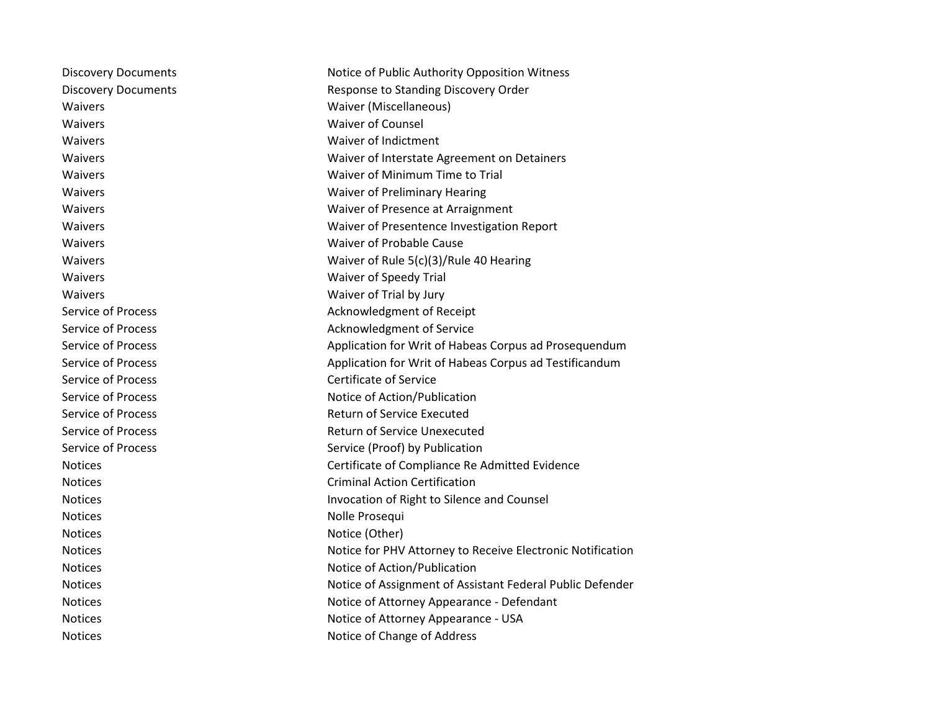| <b>Discovery Documents</b> | Notice of Public Authority Opposition Witness              |
|----------------------------|------------------------------------------------------------|
| <b>Discovery Documents</b> | Response to Standing Discovery Order                       |
| Waivers                    | Waiver (Miscellaneous)                                     |
| Waivers                    | <b>Waiver of Counsel</b>                                   |
| Waivers                    | Waiver of Indictment                                       |
| Waivers                    | Waiver of Interstate Agreement on Detainers                |
| Waivers                    | Waiver of Minimum Time to Trial                            |
| Waivers                    | Waiver of Preliminary Hearing                              |
| Waivers                    | Waiver of Presence at Arraignment                          |
| Waivers                    | Waiver of Presentence Investigation Report                 |
| <b>Waivers</b>             | Waiver of Probable Cause                                   |
| Waivers                    | Waiver of Rule 5(c)(3)/Rule 40 Hearing                     |
| Waivers                    | Waiver of Speedy Trial                                     |
| Waivers                    | Waiver of Trial by Jury                                    |
| <b>Service of Process</b>  | Acknowledgment of Receipt                                  |
| Service of Process         | Acknowledgment of Service                                  |
| Service of Process         | Application for Writ of Habeas Corpus ad Prosequendum      |
| Service of Process         | Application for Writ of Habeas Corpus ad Testificandum     |
| Service of Process         | <b>Certificate of Service</b>                              |
| <b>Service of Process</b>  | Notice of Action/Publication                               |
| Service of Process         | <b>Return of Service Executed</b>                          |
| Service of Process         | Return of Service Unexecuted                               |
| Service of Process         | Service (Proof) by Publication                             |
| <b>Notices</b>             | Certificate of Compliance Re Admitted Evidence             |
| <b>Notices</b>             | <b>Criminal Action Certification</b>                       |
| <b>Notices</b>             | Invocation of Right to Silence and Counsel                 |
| <b>Notices</b>             | Nolle Prosequi                                             |
| <b>Notices</b>             | Notice (Other)                                             |
| <b>Notices</b>             | Notice for PHV Attorney to Receive Electronic Notification |
| <b>Notices</b>             | Notice of Action/Publication                               |
| <b>Notices</b>             | Notice of Assignment of Assistant Federal Public Defender  |
| <b>Notices</b>             | Notice of Attorney Appearance - Defendant                  |
| <b>Notices</b>             | Notice of Attorney Appearance - USA                        |
| <b>Notices</b>             | Notice of Change of Address                                |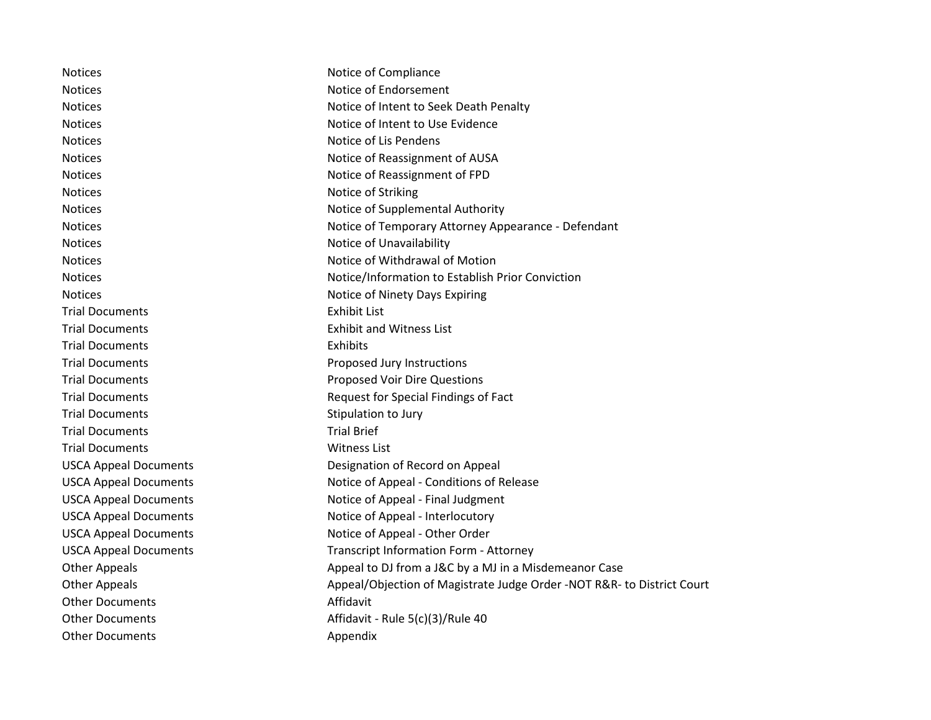| <b>Notices</b>               | Notice of Compliance                                                   |
|------------------------------|------------------------------------------------------------------------|
| <b>Notices</b>               | Notice of Endorsement                                                  |
| <b>Notices</b>               | Notice of Intent to Seek Death Penalty                                 |
| <b>Notices</b>               | Notice of Intent to Use Evidence                                       |
| <b>Notices</b>               | Notice of Lis Pendens                                                  |
| <b>Notices</b>               | Notice of Reassignment of AUSA                                         |
| <b>Notices</b>               | Notice of Reassignment of FPD                                          |
| <b>Notices</b>               | Notice of Striking                                                     |
| <b>Notices</b>               | Notice of Supplemental Authority                                       |
| <b>Notices</b>               | Notice of Temporary Attorney Appearance - Defendant                    |
| <b>Notices</b>               | Notice of Unavailability                                               |
| <b>Notices</b>               | Notice of Withdrawal of Motion                                         |
| <b>Notices</b>               | Notice/Information to Establish Prior Conviction                       |
| <b>Notices</b>               | Notice of Ninety Days Expiring                                         |
| <b>Trial Documents</b>       | <b>Exhibit List</b>                                                    |
| <b>Trial Documents</b>       | <b>Exhibit and Witness List</b>                                        |
| <b>Trial Documents</b>       | Exhibits                                                               |
| <b>Trial Documents</b>       | Proposed Jury Instructions                                             |
| <b>Trial Documents</b>       | <b>Proposed Voir Dire Questions</b>                                    |
| <b>Trial Documents</b>       | Request for Special Findings of Fact                                   |
| <b>Trial Documents</b>       | Stipulation to Jury                                                    |
| <b>Trial Documents</b>       | <b>Trial Brief</b>                                                     |
| <b>Trial Documents</b>       | <b>Witness List</b>                                                    |
| <b>USCA Appeal Documents</b> | Designation of Record on Appeal                                        |
| <b>USCA Appeal Documents</b> | Notice of Appeal - Conditions of Release                               |
| <b>USCA Appeal Documents</b> | Notice of Appeal - Final Judgment                                      |
| <b>USCA Appeal Documents</b> | Notice of Appeal - Interlocutory                                       |
| <b>USCA Appeal Documents</b> | Notice of Appeal - Other Order                                         |
| <b>USCA Appeal Documents</b> | <b>Transcript Information Form - Attorney</b>                          |
| <b>Other Appeals</b>         | Appeal to DJ from a J&C by a MJ in a Misdemeanor Case                  |
| <b>Other Appeals</b>         | Appeal/Objection of Magistrate Judge Order -NOT R&R- to District Court |
| <b>Other Documents</b>       | Affidavit                                                              |
| <b>Other Documents</b>       | Affidavit - Rule 5(c)(3)/Rule 40                                       |
| <b>Other Documents</b>       | Appendix                                                               |
|                              |                                                                        |